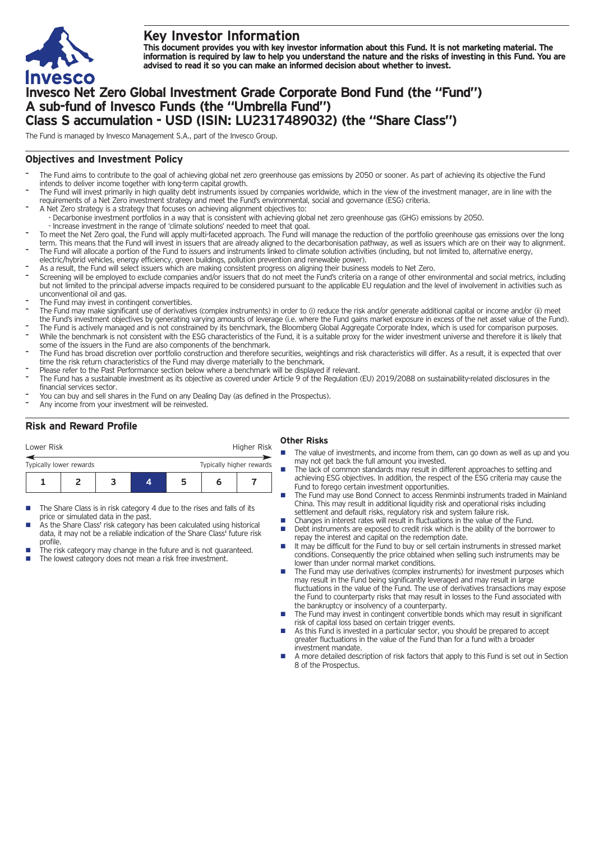

# **Key Investor Information**

This document provides you with key investor information about this Fund. It is not marketing material. The information is required by law to help you understand the nature and the risks of investing in this Fund. You are **advised to read it so you can make an informed decision about whether to invest.**

# **Invesco Net Zero Global Investment Grade Corporate Bond Fund (the "Fund") A sub-fund of Invesco Funds (the "Umbrella Fund") Class S accumulation - USD (ISIN: LU2317489032) (the "Share Class")**

The Fund is managed by Invesco Management S.A., part of the Invesco Group.

## **Objectives and Investment Policy**

- The Fund aims to contribute to the goal of achieving global net zero greenhouse gas emissions by 2050 or sooner. As part of achieving its objective the Fund intends to deliver income together with long-term capital growth.
- The Fund will invest primarily in high quality debt instruments issued by companies worldwide, which in the view of the investment manager, are in line with the requirements of a Net Zero investment strategy and meet the Fund's environmental, social and governance (ESG) criteria.
- A Net Zero strategy is a strategy that focuses on achieving alignment objectives to: - Decarbonise investment portfolios in a way that is consistent with achieving global net zero greenhouse gas (GHG) emissions by 2050.
- Increase investment in the range of 'climate solutions' needed to meet that goal.
- To meet the Net Zero goal, the Fund will apply multi-faceted approach. The Fund will manage the reduction of the portfolio greenhouse gas emissions over the long term. This means that the Fund will invest in issuers that are already aligned to the decarbonisation pathway, as well as issuers which are on their way to alignment. The Fund will allocate a portion of the Fund to issuers and instruments linked to climate solution activities (including, but not limited to, alternative energy,
- electric/hybrid vehicles, energy efficiency, green buildings, pollution prevention and renewable power).
- As a result, the Fund will select issuers which are making consistent progress on aligning their business models to Net Zero.
- Screening will be employed to exclude companies and/or issuers that do not meet the Fund's criteria on a range of other environmental and social metrics, including but not limited to the principal adverse impacts required to be considered pursuant to the applicable EU regulation and the level of involvement in activities such as unconventional oil and gas.
- The Fund may invest in contingent convertibles.
- The Fund may make significant use of derivatives (complex instruments) in order to (i) reduce the risk and/or generate additional capital or income and/or (ii) meet the Fund's investment objectives by generating varying amounts of leverage (i.e. where the Fund gains market exposure in excess of the net asset value of the Fund).
- The Fund is actively managed and is not constrained by its benchmark, the Bloomberg Global Aggregate Corporate Index, which is used for comparison purposes. While the benchmark is not consistent with the ESG characteristics of the Fund, it is a suitable proxy for the wider investment universe and therefore it is likely that some of the issuers in the Fund are also components of the benchmark.
- The Fund has broad discretion over portfolio construction and therefore securities, weightings and risk characteristics will differ. As a result, it is expected that over time the risk return characteristics of the Fund may diverge materially to the benchmark.
- Please refer to the Past Performance section below where a benchmark will be displayed if relevant.
- The Fund has a sustainable investment as its objective as covered under Article 9 of the Regulation (EU) 2019/2088 on sustainability-related disclosures in the financial services sector.
- You can buy and sell shares in the Fund on any Dealing Day (as defined in the Prospectus).
- Any income from your investment will be reinvested.

## **Risk and Reward Profile**

| Lower Risk              |  |  |                          | Higher Risk |  |
|-------------------------|--|--|--------------------------|-------------|--|
| Typically lower rewards |  |  | Typically higher rewards |             |  |
|                         |  |  | ּ                        | n           |  |

- The Share Class is in risk category 4 due to the rises and falls of its price or simulated data in the past.
- As the Share Class' risk category has been calculated using historical data, it may not be a reliable indication of the Share Class' future risk profile.
- The risk category may change in the future and is not guaranteed. The lowest category does not mean a risk free investment.

### **Other Risks**

- The value of investments, and income from them, can go down as well as up and you may not get back the full amount you invested.
- The lack of common standards may result in different approaches to setting and achieving ESG objectives. In addition, the respect of the ESG criteria may cause the Fund to forego certain investment opportunities.
- The Fund may use Bond Connect to access Renminbi instruments traded in Mainland China. This may result in additional liquidity risk and operational risks including settlement and default risks, regulatory risk and system failure risk.
- Changes in interest rates will result in fluctuations in the value of the Fund.<br>■ Debt instruments are exposed to credit risk which is the ability of the borre
- Debt instruments are exposed to credit risk which is the ability of the borrower to repay the interest and capital on the redemption date.
- $\blacksquare$  It may be difficult for the Fund to buy or sell certain instruments in stressed market conditions. Consequently the price obtained when selling such instruments may be lower than under normal market conditions.
- The Fund may use derivatives (complex instruments) for investment purposes which may result in the Fund being significantly leveraged and may result in large fluctuations in the value of the Fund. The use of derivatives transactions may expose the Fund to counterparty risks that may result in losses to the Fund associated with the bankruptcy or insolvency of a counterparty.
- The Fund may invest in contingent convertible bonds which may result in significant risk of capital loss based on certain trigger events.
- n As this Fund is invested in a particular sector, you should be prepared to accept greater fluctuations in the value of the Fund than for a fund with a broader investment mandate.
- n A more detailed description of risk factors that apply to this Fund is set out in Section 8 of the Prospectus.